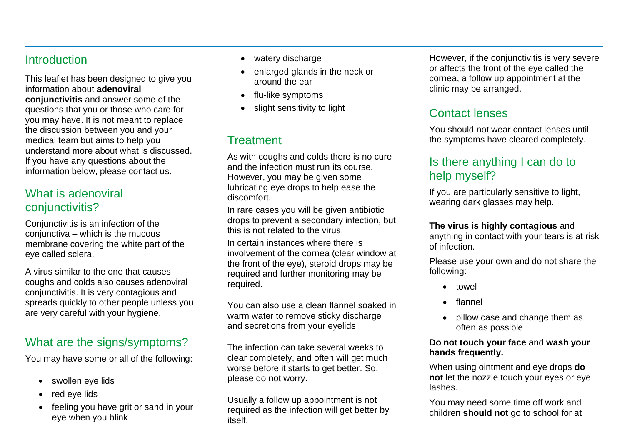## **Introduction**

This leaflet has been designed to give you information about **adenoviral conjunctivitis** and answer some of the questions that you or those who care for you may have. It is not meant to replace the discussion between you and your medical team but aims to help you understand more about what is discussed. If you have any questions about the information below, please contact us.

## What is adenoviral conjunctivitis?

Conjunctivitis is an infection of the conjunctiva – which is the mucous membrane covering the white part of the eye called sclera.

A virus similar to the one that causes coughs and colds also causes adenoviral conjunctivitis. It is very contagious and spreads quickly to other people unless you are very careful with your hygiene.

# What are the signs/symptoms?

You may have some or all of the following:

- swollen eye lids
- red eye lids
- feeling you have grit or sand in your eye when you blink
- watery discharge
- enlarged glands in the neck or around the ear
- flu-like symptoms
- slight sensitivity to light

# **Treatment**

As with coughs and colds there is no cure and the infection must run its course. However, you may be given some lubricating eye drops to help ease the discomfort.

In rare cases you will be given antibiotic drops to prevent a secondary infection, but this is not related to the virus.

In certain instances where there is involvement of the cornea (clear window at the front of the eye), steroid drops may be required and further monitoring may be required.

You can also use a clean flannel soaked in warm water to remove sticky discharge and secretions from your eyelids

The infection can take several weeks to clear completely, and often will get much worse before it starts to get better. So, please do not worry.

Usually a follow up appointment is not required as the infection will get better by itself.

However, if the conjunctivitis is very severe or affects the front of the eye called the cornea, a follow up appointment at the clinic may be arranged.

# Contact lenses

You should not wear contact lenses until the symptoms have cleared completely.

# Is there anything I can do to help myself?

If you are particularly sensitive to light, wearing dark glasses may help.

#### **The virus is highly contagious** and

anything in contact with your tears is at risk of infection.

Please use your own and do not share the following:

- towel
- flannel
- pillow case and change them as often as possible

#### **Do not touch your face** and **wash your hands frequently.**

When using ointment and eye drops **do not** let the nozzle touch your eyes or eye lashes.

You may need some time off work and children **should not** go to school for at